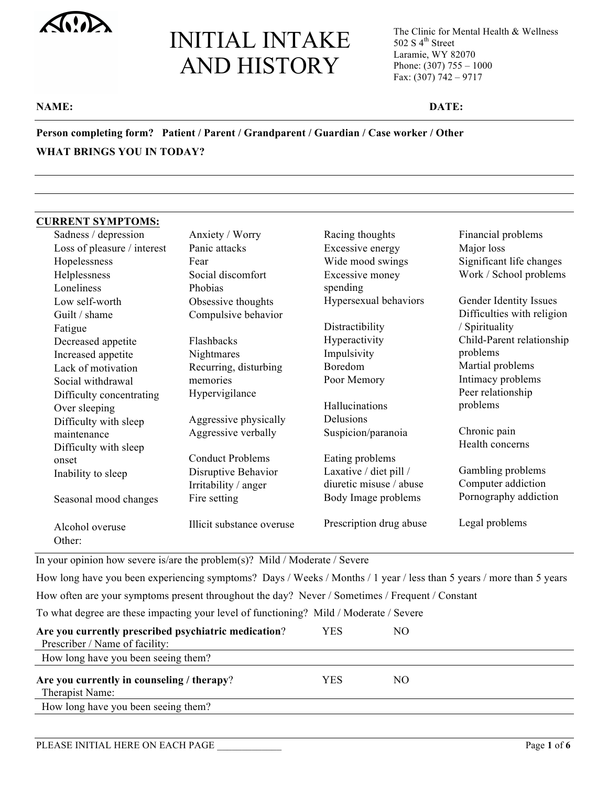The Clinic for Mental Health & Wellness 502 S  $4^{\text{th}}$  Street Laramie, WY 82070 Phone: (307) 755 – 1000 Fax: (307) 742 – 9717

#### **NAME: DATE:**

**Person completing form? Patient / Parent / Grandparent / Guardian / Case worker / Other WHAT BRINGS YOU IN TODAY?** 

#### **CURRENT SYMPTOMS:**

| Sadness / depression        | Anxiety / Worry           | Racing thoughts         | Financial problems         |
|-----------------------------|---------------------------|-------------------------|----------------------------|
| Loss of pleasure / interest | Panic attacks             | Excessive energy        | Major loss                 |
| Hopelessness                | Fear                      | Wide mood swings        | Significant life changes   |
| Helplessness                | Social discomfort         | Excessive money         | Work / School problems     |
| Loneliness                  | Phobias                   | spending                |                            |
| Low self-worth              | Obsessive thoughts        | Hypersexual behaviors   | Gender Identity Issues     |
| Guilt / shame               | Compulsive behavior       |                         | Difficulties with religion |
| Fatigue                     |                           | Distractibility         | / Spirituality             |
| Decreased appetite          | Flashbacks                | Hyperactivity           | Child-Parent relationship  |
| Increased appetite          | Nightmares                | Impulsivity             | problems                   |
| Lack of motivation          | Recurring, disturbing     | Boredom                 | Martial problems           |
| Social withdrawal           | memories                  | Poor Memory             | Intimacy problems          |
| Difficulty concentrating    | Hypervigilance            |                         | Peer relationship          |
| Over sleeping               |                           | Hallucinations          | problems                   |
| Difficulty with sleep       | Aggressive physically     | Delusions               |                            |
| maintenance                 | Aggressive verbally       | Suspicion/paranoia      | Chronic pain               |
| Difficulty with sleep       |                           |                         | Health concerns            |
| onset                       | <b>Conduct Problems</b>   | Eating problems         |                            |
| Inability to sleep          | Disruptive Behavior       | Laxative / diet pill /  | Gambling problems          |
|                             | Irritability / anger      | diuretic misuse / abuse | Computer addiction         |
| Seasonal mood changes       | Fire setting              | Body Image problems     | Pornography addiction      |
| Alcohol overuse<br>Other:   | Illicit substance overuse | Prescription drug abuse | Legal problems             |

In your opinion how severe is/are the problem(s)? Mild / Moderate / Severe

How long have you been experiencing symptoms? Days / Weeks / Months / 1 year / less than 5 years / more than 5 years

How often are your symptoms present throughout the day? Never / Sometimes / Frequent / Constant

To what degree are these impacting your level of functioning? Mild / Moderate / Severe

| Are you currently prescribed psychiatric medication?          | YES. | NО |  |
|---------------------------------------------------------------|------|----|--|
| Prescriber / Name of facility:                                |      |    |  |
| How long have you been seeing them?                           |      |    |  |
| Are you currently in counseling / therapy?<br>Therapist Name: | YES  | NО |  |
| How long have you been seeing them?                           |      |    |  |
|                                                               |      |    |  |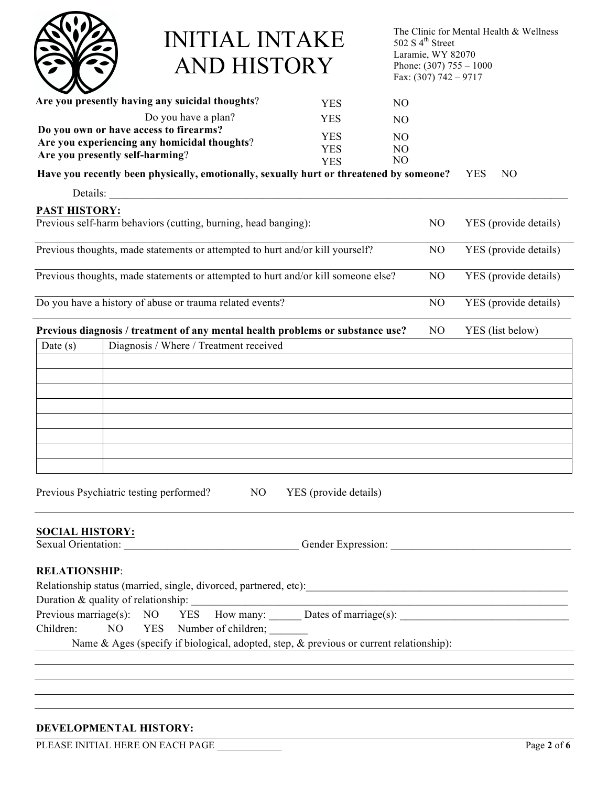

The Clinic for Mental Health & Wellness 502 S  $4^{\text{th}}$  Street Laramie, WY 82070 Phone:  $(307)$  755 – 1000 Fax: (307) 742 – 9717

| Are you presently having any suicidal thoughts?                                         | <b>YES</b>            | N <sub>O</sub> |                |                              |
|-----------------------------------------------------------------------------------------|-----------------------|----------------|----------------|------------------------------|
| Do you have a plan?                                                                     | <b>YES</b>            | N <sub>O</sub> |                |                              |
| Do you own or have access to firearms?                                                  | <b>YES</b>            | N <sub>O</sub> |                |                              |
| Are you experiencing any homicidal thoughts?                                            | <b>YES</b>            | N <sub>O</sub> |                |                              |
| Are you presently self-harming?                                                         | <b>YES</b>            | N <sub>O</sub> |                |                              |
| Have you recently been physically, emotionally, sexually hurt or threatened by someone? |                       |                |                | <b>YES</b><br>N <sub>O</sub> |
| Details:                                                                                |                       |                |                |                              |
| <b>PAST HISTORY:</b>                                                                    |                       |                |                |                              |
| Previous self-harm behaviors (cutting, burning, head banging):                          |                       |                | N <sub>O</sub> | YES (provide details)        |
| Previous thoughts, made statements or attempted to hurt and/or kill yourself?           |                       |                | NO             | YES (provide details)        |
| Previous thoughts, made statements or attempted to hurt and/or kill someone else?       |                       |                | N <sub>O</sub> | YES (provide details)        |
| Do you have a history of abuse or trauma related events?                                |                       |                | NO             | YES (provide details)        |
| Previous diagnosis / treatment of any mental health problems or substance use?          |                       |                | N <sub>O</sub> | YES (list below)             |
| Diagnosis / Where / Treatment received<br>Date $(s)$                                    |                       |                |                |                              |
|                                                                                         |                       |                |                |                              |
|                                                                                         |                       |                |                |                              |
|                                                                                         |                       |                |                |                              |
|                                                                                         |                       |                |                |                              |
|                                                                                         |                       |                |                |                              |
|                                                                                         |                       |                |                |                              |
|                                                                                         |                       |                |                |                              |
|                                                                                         |                       |                |                |                              |
| Previous Psychiatric testing performed?<br>N <sub>O</sub>                               | YES (provide details) |                |                |                              |
| <b>SOCIAL HISTORY:</b>                                                                  |                       |                |                |                              |
| Sexual Orientation: Gender Expression:                                                  |                       |                |                |                              |
| <b>RELATIONSHIP:</b>                                                                    |                       |                |                |                              |
|                                                                                         |                       |                |                |                              |
|                                                                                         |                       |                |                |                              |
| Previous marriage(s): NO YES                                                            |                       |                |                |                              |
| Children:<br>NO<br>YES Number of children;                                              |                       |                |                |                              |
| Name & Ages (specify if biological, adopted, step, & previous or current relationship): |                       |                |                |                              |
|                                                                                         |                       |                |                |                              |
|                                                                                         |                       |                |                |                              |

#### **DEVELOPMENTAL HISTORY:**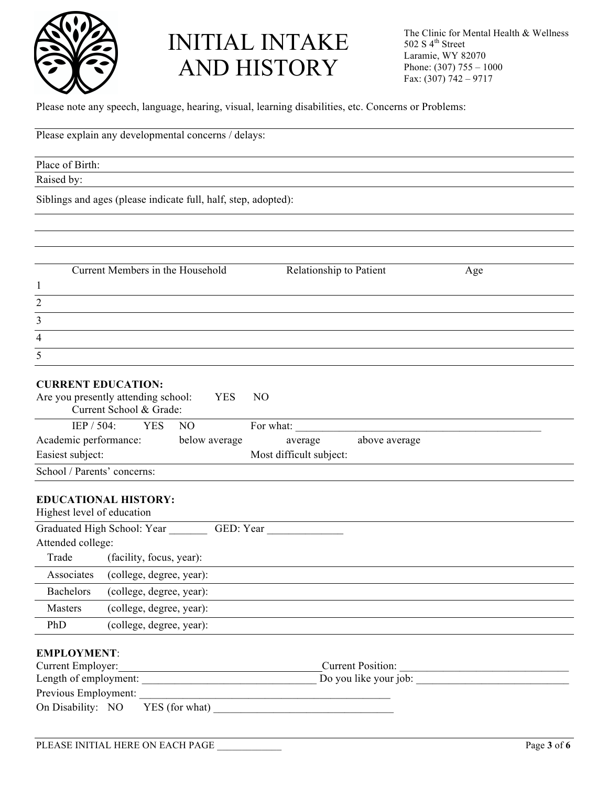

Please note any speech, language, hearing, visual, learning disabilities, etc. Concerns or Problems:

| Please explain any developmental concerns / delays:                                                                                                                                   |  |
|---------------------------------------------------------------------------------------------------------------------------------------------------------------------------------------|--|
| Place of Birth:                                                                                                                                                                       |  |
| Raised by:                                                                                                                                                                            |  |
| Siblings and ages (please indicate full, half, step, adopted):                                                                                                                        |  |
|                                                                                                                                                                                       |  |
|                                                                                                                                                                                       |  |
|                                                                                                                                                                                       |  |
| Current Members in the Household<br>Relationship to Patient<br>Age                                                                                                                    |  |
| $\mathbf{1}$                                                                                                                                                                          |  |
| $\overline{2}$                                                                                                                                                                        |  |
| $\overline{3}$                                                                                                                                                                        |  |
| $\overline{4}$                                                                                                                                                                        |  |
| 5                                                                                                                                                                                     |  |
| <b>CURRENT EDUCATION:</b><br>Are you presently attending school:<br><b>YES</b><br>N <sub>O</sub><br>Current School & Grade:                                                           |  |
| IEP / 504:<br><b>YES</b><br>N <sub>O</sub><br>For what:                                                                                                                               |  |
| Academic performance:<br>below average<br>above average<br>average<br>Easiest subject:<br>Most difficult subject:                                                                     |  |
| School / Parents' concerns:                                                                                                                                                           |  |
|                                                                                                                                                                                       |  |
| <b>EDUCATIONAL HISTORY:</b><br>Highest level of education                                                                                                                             |  |
| Graduated High School: Year<br>GED: Year                                                                                                                                              |  |
| Attended college:                                                                                                                                                                     |  |
| Trade<br>(facility, focus, year):                                                                                                                                                     |  |
| Associates<br>(college, degree, year):                                                                                                                                                |  |
| <b>Bachelors</b><br>(college, degree, year):                                                                                                                                          |  |
| (college, degree, year):<br>Masters                                                                                                                                                   |  |
| (college, degree, year):<br>PhD                                                                                                                                                       |  |
| <b>EMPLOYMENT:</b><br>Current Employer:<br>Current Position:<br><u> 1989 - Johann Stoff, die staatsbeskip van die Stoffense van die Stoffense van die Stoffense van die Stoffense</u> |  |
|                                                                                                                                                                                       |  |
| On Disability: NO<br>YES (for what)                                                                                                                                                   |  |
|                                                                                                                                                                                       |  |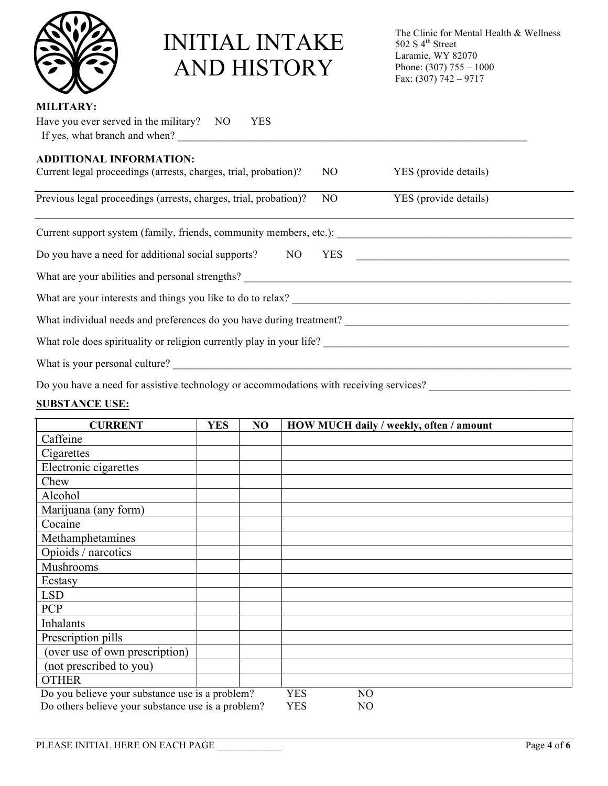

The Clinic for Mental Health & Wellness 502 S  $4^{\text{th}}$  Street Laramie, WY 82070 Phone:  $(307)$  755 – 1000 Fax:  $(307) 742 - 9717$ 

#### **MILITARY:**

| Have you ever served in the military? NO<br><b>YES</b>                  |                       |
|-------------------------------------------------------------------------|-----------------------|
| If yes, what branch and when?                                           |                       |
| <b>ADDITIONAL INFORMATION:</b>                                          |                       |
| Current legal proceedings (arrests, charges, trial, probation)?<br>NO.  | YES (provide details) |
| Previous legal proceedings (arrests, charges, trial, probation)?<br>NO. | YES (provide details) |
|                                                                         |                       |
|                                                                         |                       |
|                                                                         |                       |
|                                                                         |                       |
| What individual needs and preferences do you have during treatment?     |                       |
| What role does spirituality or religion currently play in your life?    |                       |
| What is your personal culture?                                          |                       |
|                                                                         |                       |

Do you have a need for assistive technology or accommodations with receiving services? \_\_\_\_\_\_\_\_\_\_\_\_\_\_\_\_\_\_\_\_\_\_\_\_

### **SUBSTANCE USE:**

| <b>CURRENT</b>                                     | <b>YES</b> | NO | HOW MUCH daily / weekly, often / amount |
|----------------------------------------------------|------------|----|-----------------------------------------|
| Caffeine                                           |            |    |                                         |
| Cigarettes                                         |            |    |                                         |
| Electronic cigarettes                              |            |    |                                         |
| Chew                                               |            |    |                                         |
| Alcohol                                            |            |    |                                         |
| Marijuana (any form)                               |            |    |                                         |
| Cocaine                                            |            |    |                                         |
| Methamphetamines                                   |            |    |                                         |
| Opioids / narcotics                                |            |    |                                         |
| Mushrooms                                          |            |    |                                         |
| Ecstasy                                            |            |    |                                         |
| <b>LSD</b>                                         |            |    |                                         |
| <b>PCP</b>                                         |            |    |                                         |
| Inhalants                                          |            |    |                                         |
| Prescription pills                                 |            |    |                                         |
| (over use of own prescription)                     |            |    |                                         |
| (not prescribed to you)                            |            |    |                                         |
| <b>OTHER</b>                                       |            |    |                                         |
| Do you believe your substance use is a problem?    |            |    | <b>YES</b><br>NO                        |
| Do others believe your substance use is a problem? |            |    | <b>YES</b><br>NO                        |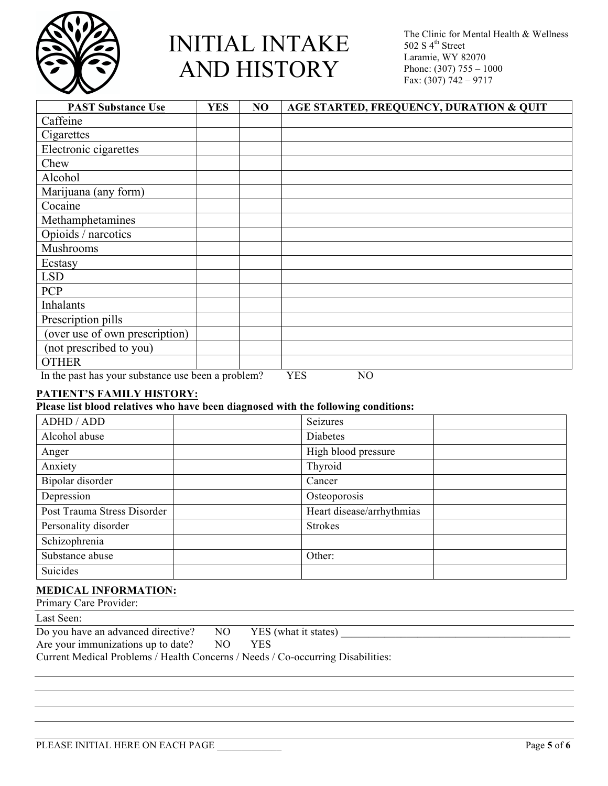

The Clinic for Mental Health & Wellness 502 S  $4^{\text{th}}$  Street Laramie, WY 82070 Phone: (307) 755 – 1000 Fax: (307) 742 – 9717

| <b>PAST Substance Use</b>                          | <b>YES</b> | NO | AGE STARTED, FREQUENCY, DURATION & QUIT |
|----------------------------------------------------|------------|----|-----------------------------------------|
| Caffeine                                           |            |    |                                         |
| Cigarettes                                         |            |    |                                         |
| Electronic cigarettes                              |            |    |                                         |
| Chew                                               |            |    |                                         |
| Alcohol                                            |            |    |                                         |
| Marijuana (any form)                               |            |    |                                         |
| Cocaine                                            |            |    |                                         |
| Methamphetamines                                   |            |    |                                         |
| Opioids / narcotics                                |            |    |                                         |
| Mushrooms                                          |            |    |                                         |
| Ecstasy                                            |            |    |                                         |
| <b>LSD</b>                                         |            |    |                                         |
| <b>PCP</b>                                         |            |    |                                         |
| <b>Inhalants</b>                                   |            |    |                                         |
| Prescription pills                                 |            |    |                                         |
| (over use of own prescription)                     |            |    |                                         |
| (not prescribed to you)                            |            |    |                                         |
| <b>OTHER</b>                                       |            |    |                                         |
| In the past has your substance use been a problem? |            |    | <b>YES</b><br>NO                        |

#### **PATIENT'S FAMILY HISTORY:**

#### **Please list blood relatives who have been diagnosed with the following conditions:**

| ADHD / ADD                  | Seizures                  |  |
|-----------------------------|---------------------------|--|
| Alcohol abuse               | Diabetes                  |  |
| Anger                       | High blood pressure       |  |
| Anxiety                     | Thyroid                   |  |
| Bipolar disorder            | Cancer                    |  |
| Depression                  | Osteoporosis              |  |
| Post Trauma Stress Disorder | Heart disease/arrhythmias |  |
| Personality disorder        | <b>Strokes</b>            |  |
| Schizophrenia               |                           |  |
| Substance abuse             | Other:                    |  |
| Suicides                    |                           |  |

#### **MEDICAL INFORMATION:**

| Primary Care Provider:                 |     |                      |  |
|----------------------------------------|-----|----------------------|--|
| Last Seen:                             |     |                      |  |
| Do you have an advanced directive?     | NO. | YES (what it states) |  |
| Are your immunizations up to date?     | NО  | YES                  |  |
| $\alpha$ (M(1; 1 m) 11 (T) 11 $\alpha$ |     |                      |  |

Current Medical Problems / Health Concerns / Needs / Co-occurring Disabilities: